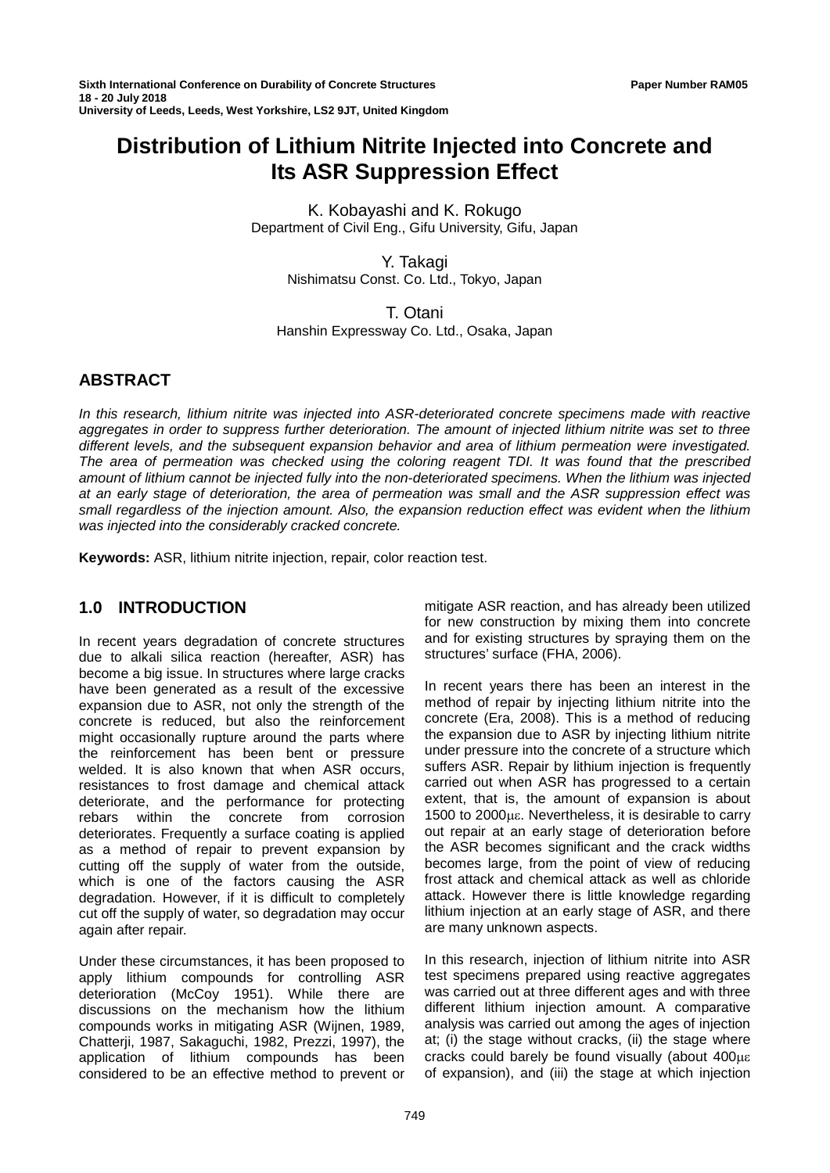# **Distribution of Lithium Nitrite Injected into Concrete and Its ASR Suppression Effect**

K. Kobayashi and K. Rokugo Department of Civil Eng., Gifu University, Gifu, Japan

> Y. Takagi Nishimatsu Const. Co. Ltd., Tokyo, Japan

T. Otani Hanshin Expressway Co. Ltd., Osaka, Japan

# **ABSTRACT**

*In this research, lithium nitrite was injected into ASR-deteriorated concrete specimens made with reactive aggregates in order to suppress further deterioration. The amount of injected lithium nitrite was set to three different levels, and the subsequent expansion behavior and area of lithium permeation were investigated. The area of permeation was checked using the coloring reagent TDI. It was found that the prescribed amount of lithium cannot be injected fully into the non-deteriorated specimens. When the lithium was injected at an early stage of deterioration, the area of permeation was small and the ASR suppression effect was small regardless of the injection amount. Also, the expansion reduction effect was evident when the lithium was injected into the considerably cracked concrete.*

**Keywords:** ASR, lithium nitrite injection, repair, color reaction test.

# **1.0 INTRODUCTION**

In recent years degradation of concrete structures due to alkali silica reaction (hereafter, ASR) has become a big issue. In structures where large cracks have been generated as a result of the excessive expansion due to ASR, not only the strength of the concrete is reduced, but also the reinforcement might occasionally rupture around the parts where the reinforcement has been bent or pressure welded. It is also known that when ASR occurs, resistances to frost damage and chemical attack deteriorate, and the performance for protecting<br>rebars within the concrete from corrosion rebars within the concrete from corrosion deteriorates. Frequently a surface coating is applied as a method of repair to prevent expansion by cutting off the supply of water from the outside, which is one of the factors causing the ASR degradation. However, if it is difficult to completely cut off the supply of water, so degradation may occur again after repair.

Under these circumstances, it has been proposed to apply lithium compounds for controlling ASR deterioration (McCoy 1951). While there are discussions on the mechanism how the lithium compounds works in mitigating ASR (Wijnen, 1989, Chatterji, 1987, Sakaguchi, 1982, Prezzi, 1997), the application of lithium compounds has been considered to be an effective method to prevent or

mitigate ASR reaction, and has already been utilized for new construction by mixing them into concrete and for existing structures by spraying them on the structures' surface (FHA, 2006).

In recent years there has been an interest in the method of repair by injecting lithium nitrite into the concrete (Era, 2008). This is a method of reducing the expansion due to ASR by injecting lithium nitrite under pressure into the concrete of a structure which suffers ASR. Repair by lithium injection is frequently carried out when ASR has progressed to a certain extent, that is, the amount of expansion is about 1500 to 2000µε. Nevertheless, it is desirable to carry out repair at an early stage of deterioration before the ASR becomes significant and the crack widths becomes large, from the point of view of reducing frost attack and chemical attack as well as chloride attack. However there is little knowledge regarding lithium injection at an early stage of ASR, and there are many unknown aspects.

In this research, injection of lithium nitrite into ASR test specimens prepared using reactive aggregates was carried out at three different ages and with three different lithium injection amount. A comparative analysis was carried out among the ages of injection at; (i) the stage without cracks, (ii) the stage where cracks could barely be found visually (about 400µε of expansion), and (iii) the stage at which injection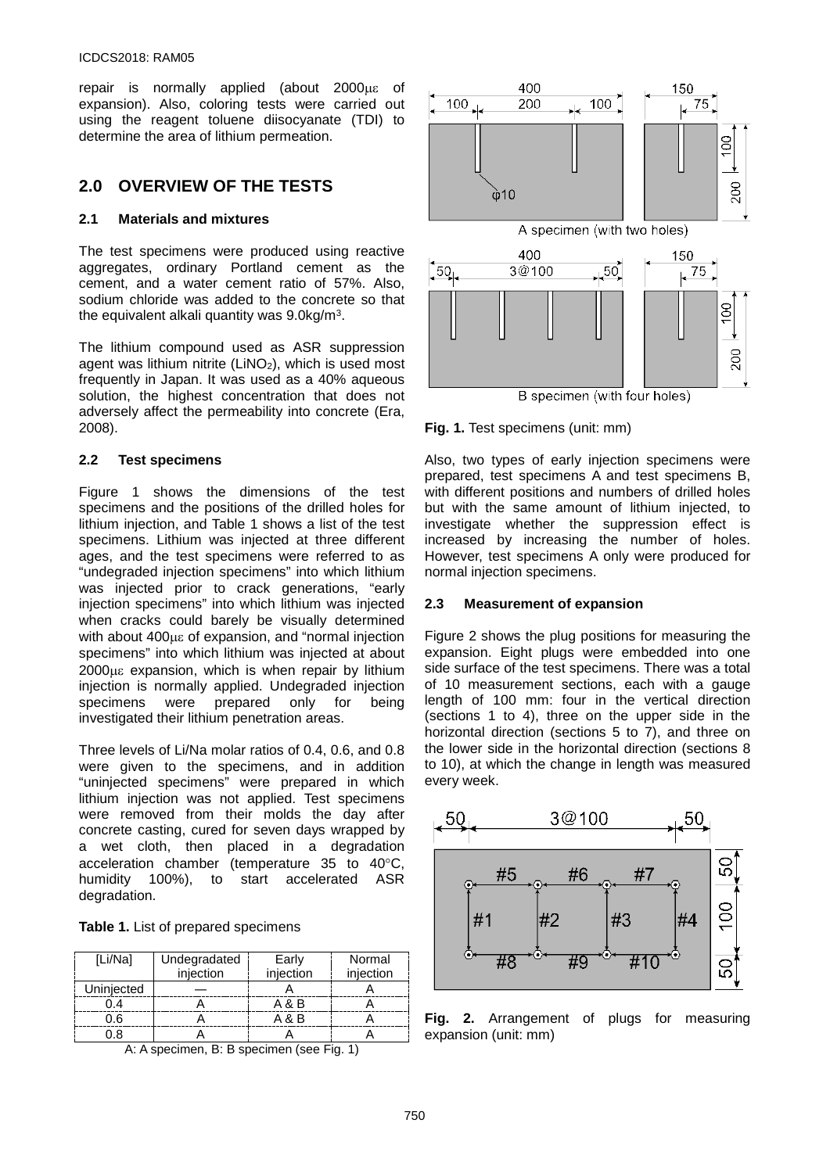repair is normally applied (about 2000µε of expansion). Also, coloring tests were carried out using the reagent toluene diisocyanate (TDI) to determine the area of lithium permeation.

# **2.0 OVERVIEW OF THE TESTS**

### **2.1 Materials and mixtures**

The test specimens were produced using reactive aggregates, ordinary Portland cement as the cement, and a water cement ratio of 57%. Also, sodium chloride was added to the concrete so that the equivalent alkali quantity was 9.0kg/m3.

The lithium compound used as ASR suppression agent was lithium nitrite  $(LINO<sub>2</sub>)$ , which is used most frequently in Japan. It was used as a 40% aqueous solution, the highest concentration that does not adversely affect the permeability into concrete (Era, 2008).

### **2.2 Test specimens**

Figure 1 shows the dimensions of the test specimens and the positions of the drilled holes for lithium injection, and Table 1 shows a list of the test specimens. Lithium was injected at three different ages, and the test specimens were referred to as "undegraded injection specimens" into which lithium was injected prior to crack generations, "early injection specimens" into which lithium was injected when cracks could barely be visually determined with about 400µε of expansion, and "normal injection specimens" into which lithium was injected at about 2000µε expansion, which is when repair by lithium injection is normally applied. Undegraded injection specimens were prepared only for being investigated their lithium penetration areas.

Three levels of Li/Na molar ratios of 0.4, 0.6, and 0.8 were given to the specimens, and in addition "uninjected specimens" were prepared in which lithium injection was not applied. Test specimens were removed from their molds the day after concrete casting, cured for seven days wrapped by a wet cloth, then placed in a degradation acceleration chamber (temperature 35 to 40°C, humidity 100%), to start accelerated ASR degradation.

| [Li/Na]    | Undegradated | Early     | Normal    |
|------------|--------------|-----------|-----------|
|            | injection    | injection | injection |
| Uninjected |              |           |           |
| 0.4        |              | A & B     |           |
| 0.6        |              | A & B     |           |
| 0.8        |              |           |           |

A: A specimen, B: B specimen (see Fig. 1)



B specimen (with four holes)

**Fig. 1.** Test specimens (unit: mm)

Also, two types of early injection specimens were prepared, test specimens A and test specimens B, with different positions and numbers of drilled holes but with the same amount of lithium injected, to investigate whether the suppression effect is increased by increasing the number of holes. However, test specimens A only were produced for normal injection specimens.

### **2.3 Measurement of expansion**

Figure 2 shows the plug positions for measuring the expansion. Eight plugs were embedded into one side surface of the test specimens. There was a total of 10 measurement sections, each with a gauge length of 100 mm: four in the vertical direction (sections 1 to 4), three on the upper side in the horizontal direction (sections 5 to 7), and three on the lower side in the horizontal direction (sections 8 to 10), at which the change in length was measured every week.



**Fig. 2.** Arrangement of plugs for measuring expansion (unit: mm)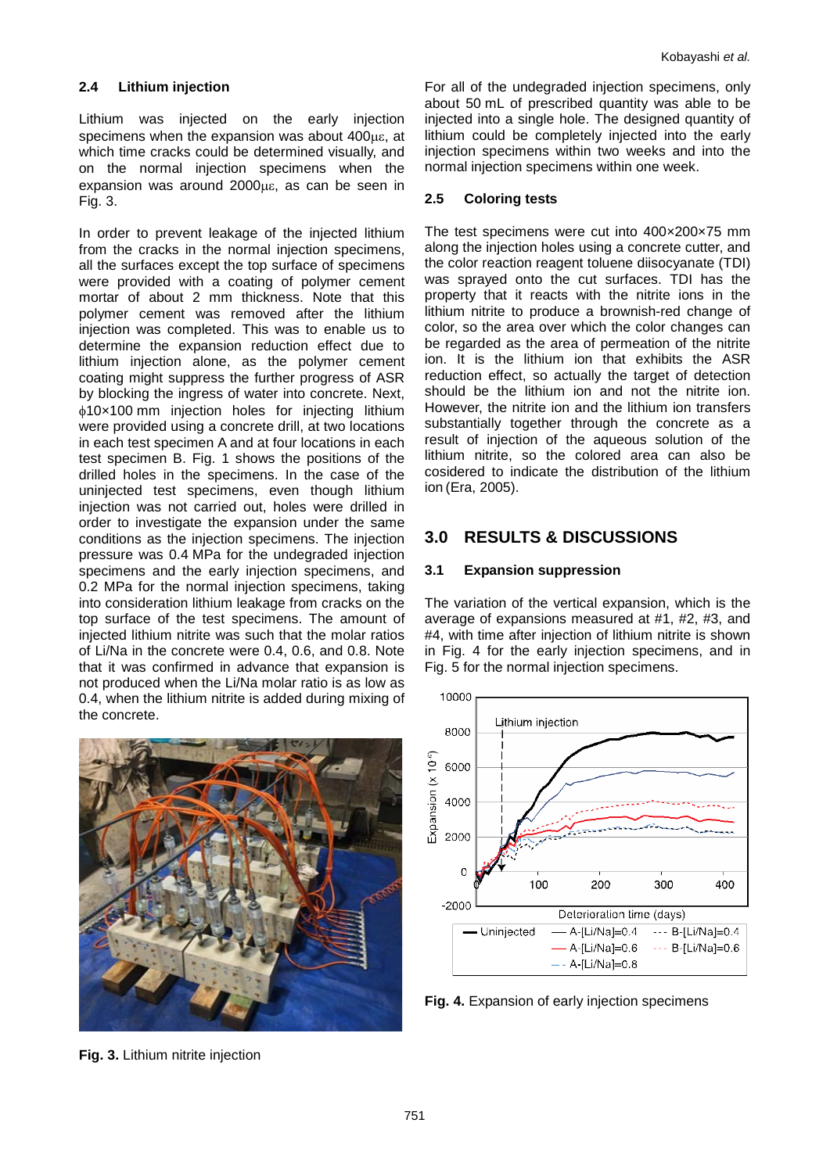### **2.4 Lithium injection**

Lithium was injected on the early injection specimens when the expansion was about 400µε, at which time cracks could be determined visually, and on the normal injection specimens when the expansion was around 2000µε, as can be seen in Fig. 3.

In order to prevent leakage of the injected lithium from the cracks in the normal injection specimens, all the surfaces except the top surface of specimens were provided with a coating of polymer cement mortar of about 2 mm thickness. Note that this polymer cement was removed after the lithium injection was completed. This was to enable us to determine the expansion reduction effect due to lithium injection alone, as the polymer cement coating might suppress the further progress of ASR by blocking the ingress of water into concrete. Next, φ10×100 mm injection holes for injecting lithium were provided using a concrete drill, at two locations in each test specimen A and at four locations in each test specimen B. Fig. 1 shows the positions of the drilled holes in the specimens. In the case of the uninjected test specimens, even though lithium injection was not carried out, holes were drilled in order to investigate the expansion under the same conditions as the injection specimens. The injection pressure was 0.4 MPa for the undegraded injection specimens and the early injection specimens, and 0.2 MPa for the normal injection specimens, taking into consideration lithium leakage from cracks on the top surface of the test specimens. The amount of injected lithium nitrite was such that the molar ratios of Li/Na in the concrete were 0.4, 0.6, and 0.8. Note that it was confirmed in advance that expansion is not produced when the Li/Na molar ratio is as low as 0.4, when the lithium nitrite is added during mixing of the concrete.



**Fig. 3.** Lithium nitrite injection

For all of the undegraded injection specimens, only about 50 mL of prescribed quantity was able to be injected into a single hole. The designed quantity of lithium could be completely injected into the early injection specimens within two weeks and into the normal injection specimens within one week.

### **2.5 Coloring tests**

The test specimens were cut into 400×200×75 mm along the injection holes using a concrete cutter, and the color reaction reagent toluene diisocyanate (TDI) was sprayed onto the cut surfaces. TDI has the property that it reacts with the nitrite ions in the lithium nitrite to produce a brownish-red change of color, so the area over which the color changes can be regarded as the area of permeation of the nitrite ion. It is the lithium ion that exhibits the ASR reduction effect, so actually the target of detection should be the lithium ion and not the nitrite ion. However, the nitrite ion and the lithium ion transfers substantially together through the concrete as a result of injection of the aqueous solution of the lithium nitrite, so the colored area can also be cosidered to indicate the distribution of the lithium ion (Era, 2005).

# **3.0 RESULTS & DISCUSSIONS**

## **3.1 Expansion suppression**

The variation of the vertical expansion, which is the average of expansions measured at #1, #2, #3, and #4, with time after injection of lithium nitrite is shown in Fig. 4 for the early injection specimens, and in Fig. 5 for the normal injection specimens.



**Fig. 4.** Expansion of early injection specimens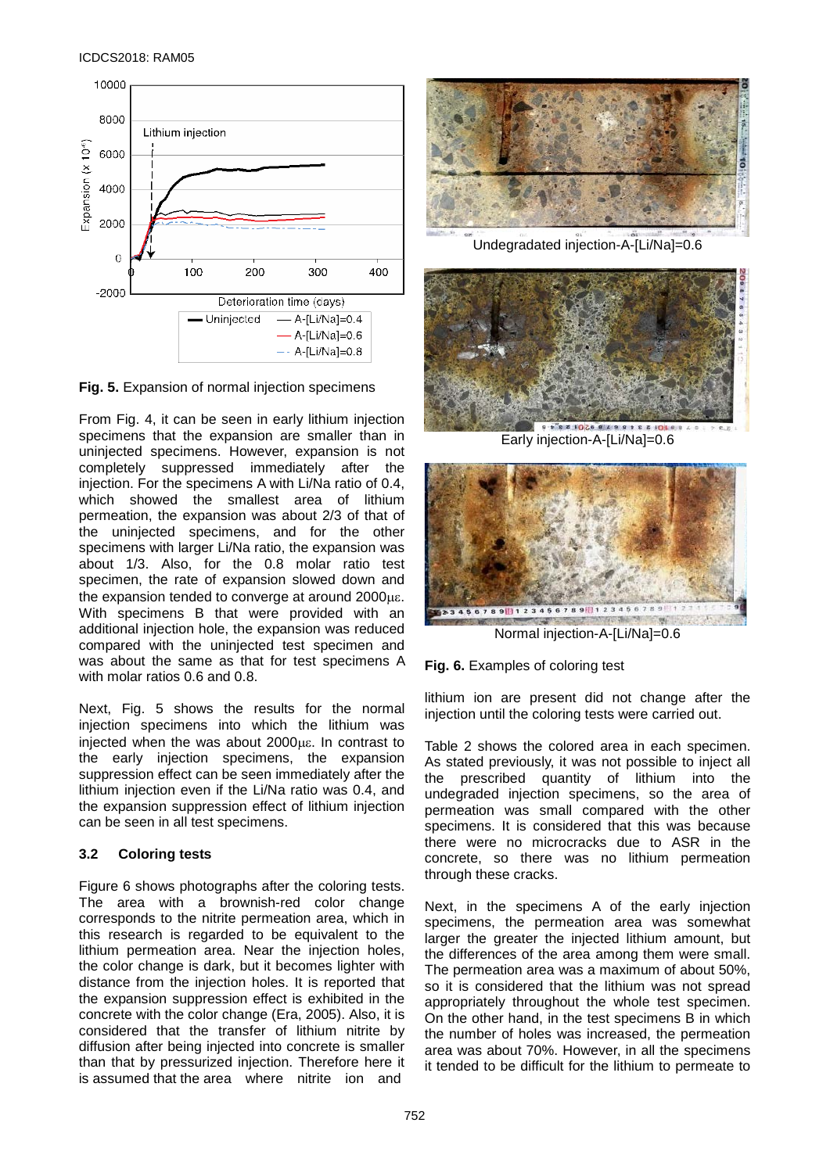

**Fig. 5.** Expansion of normal injection specimens

From Fig. 4, it can be seen in early lithium injection specimens that the expansion are smaller than in uninjected specimens. However, expansion is not completely suppressed immediately after the injection. For the specimens A with Li/Na ratio of 0.4, which showed the smallest area of lithium permeation, the expansion was about 2/3 of that of the uninjected specimens, and for the other specimens with larger Li/Na ratio, the expansion was about 1/3. Also, for the 0.8 molar ratio test specimen, the rate of expansion slowed down and the expansion tended to converge at around 2000µε. With specimens B that were provided with an additional injection hole, the expansion was reduced compared with the uninjected test specimen and was about the same as that for test specimens A with molar ratios 0.6 and 0.8.

Next, Fig. 5 shows the results for the normal injection specimens into which the lithium was injected when the was about 2000µε. In contrast to the early injection specimens, the expansion suppression effect can be seen immediately after the lithium injection even if the Li/Na ratio was 0.4, and the expansion suppression effect of lithium injection can be seen in all test specimens.

# **3.2 Coloring tests**

Figure 6 shows photographs after the coloring tests. The area with a brownish-red color change corresponds to the nitrite permeation area, which in this research is regarded to be equivalent to the lithium permeation area. Near the injection holes, the color change is dark, but it becomes lighter with distance from the injection holes. It is reported that the expansion suppression effect is exhibited in the concrete with the color change (Era, 2005). Also, it is considered that the transfer of lithium nitrite by diffusion after being injected into concrete is smaller than that by pressurized injection. Therefore here it is assumed that the area where nitrite ion and



Undegradated injection-A-[Li/Na]=0.6



Early injection-A-[Li/Na]=0.6



Normal injection-A-[Li/Na]=0.6

**Fig. 6.** Examples of coloring test

lithium ion are present did not change after the injection until the coloring tests were carried out.

Table 2 shows the colored area in each specimen. As stated previously, it was not possible to inject all the prescribed quantity of lithium into the undegraded injection specimens, so the area of permeation was small compared with the other specimens. It is considered that this was because there were no microcracks due to ASR in the concrete, so there was no lithium permeation through these cracks.

Next, in the specimens A of the early injection specimens, the permeation area was somewhat larger the greater the injected lithium amount, but the differences of the area among them were small. The permeation area was a maximum of about 50%, so it is considered that the lithium was not spread appropriately throughout the whole test specimen. On the other hand, in the test specimens B in which the number of holes was increased, the permeation area was about 70%. However, in all the specimens it tended to be difficult for the lithium to permeate to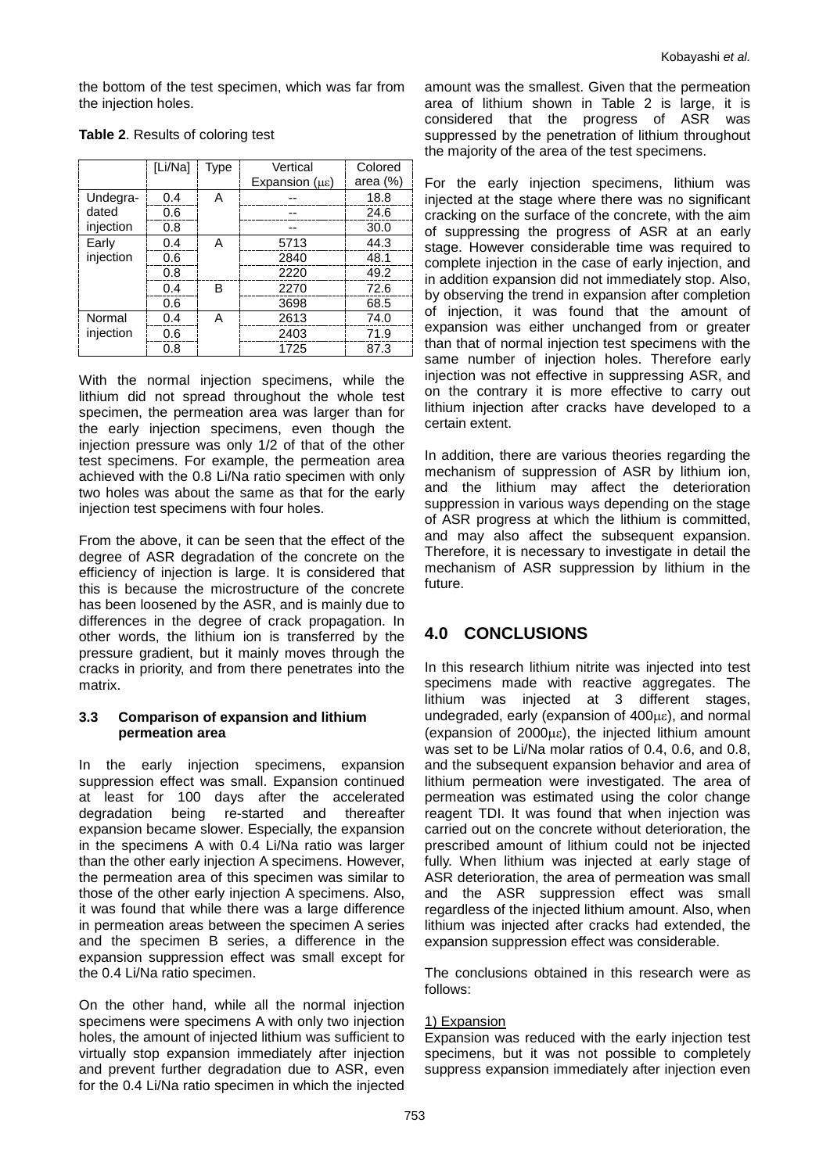the bottom of the test specimen, which was far from the injection holes.

|           | [Li/Na] | Type | Vertical                      | Colored     |
|-----------|---------|------|-------------------------------|-------------|
|           |         |      | Expansion $(\mu \varepsilon)$ | area $(\%)$ |
| Undegra-  | 0.4     | A    |                               | 18.8        |
| dated     | 0.6     |      |                               | 24.6        |
| injection | 0.8     |      |                               | 30.0        |
| Early     | 0.4     | A    | 5713                          | 44.3        |
| injection | 0.6     |      | 2840                          | 48.1        |
|           | 0.8     |      | 2220                          | 49.2        |
|           | 0.4     | R    | 2270                          | 72.6        |
|           | 0.6     |      | 3698                          | 68.5        |
| Normal    | 0.4     | А    | 2613                          | 74.0        |
| injection | 0.6     |      | 2403                          | 71.9        |
|           | 0.8     |      | 1725                          | 87.3        |

### **Table 2**. Results of coloring test

With the normal injection specimens, while the lithium did not spread throughout the whole test specimen, the permeation area was larger than for the early injection specimens, even though the injection pressure was only 1/2 of that of the other test specimens. For example, the permeation area achieved with the 0.8 Li/Na ratio specimen with only two holes was about the same as that for the early injection test specimens with four holes.

From the above, it can be seen that the effect of the degree of ASR degradation of the concrete on the efficiency of injection is large. It is considered that this is because the microstructure of the concrete has been loosened by the ASR, and is mainly due to differences in the degree of crack propagation. In other words, the lithium ion is transferred by the pressure gradient, but it mainly moves through the cracks in priority, and from there penetrates into the matrix.

### **3.3 Comparison of expansion and lithium permeation area**

In the early injection specimens, expansion suppression effect was small. Expansion continued at least for 100 days after the accelerated degradation being re-started and thereafter expansion became slower. Especially, the expansion in the specimens A with 0.4 Li/Na ratio was larger than the other early injection A specimens. However, the permeation area of this specimen was similar to those of the other early injection A specimens. Also, it was found that while there was a large difference in permeation areas between the specimen A series and the specimen B series, a difference in the expansion suppression effect was small except for the 0.4 Li/Na ratio specimen.

On the other hand, while all the normal injection specimens were specimens A with only two injection holes, the amount of injected lithium was sufficient to virtually stop expansion immediately after injection and prevent further degradation due to ASR, even for the 0.4 Li/Na ratio specimen in which the injected

amount was the smallest. Given that the permeation area of lithium shown in Table 2 is large, it is considered that the progress of ASR was suppressed by the penetration of lithium throughout the majority of the area of the test specimens.

For the early injection specimens, lithium was injected at the stage where there was no significant cracking on the surface of the concrete, with the aim of suppressing the progress of ASR at an early stage. However considerable time was required to complete injection in the case of early injection, and in addition expansion did not immediately stop. Also, by observing the trend in expansion after completion of injection, it was found that the amount of expansion was either unchanged from or greater than that of normal injection test specimens with the same number of injection holes. Therefore early injection was not effective in suppressing ASR, and on the contrary it is more effective to carry out lithium injection after cracks have developed to a certain extent.

In addition, there are various theories regarding the mechanism of suppression of ASR by lithium ion, and the lithium may affect the deterioration suppression in various ways depending on the stage of ASR progress at which the lithium is committed, and may also affect the subsequent expansion. Therefore, it is necessary to investigate in detail the mechanism of ASR suppression by lithium in the future.

# **4.0 CONCLUSIONS**

In this research lithium nitrite was injected into test specimens made with reactive aggregates. The lithium was injected at 3 different stages, undegraded, early (expansion of 400µε), and normal (expansion of 2000µε), the injected lithium amount was set to be Li/Na molar ratios of 0.4, 0.6, and 0.8, and the subsequent expansion behavior and area of lithium permeation were investigated. The area of permeation was estimated using the color change reagent TDI. It was found that when injection was carried out on the concrete without deterioration, the prescribed amount of lithium could not be injected fully. When lithium was injected at early stage of ASR deterioration, the area of permeation was small and the ASR suppression effect was small regardless of the injected lithium amount. Also, when lithium was injected after cracks had extended, the expansion suppression effect was considerable.

The conclusions obtained in this research were as follows:

### 1) Expansion

Expansion was reduced with the early injection test specimens, but it was not possible to completely suppress expansion immediately after injection even